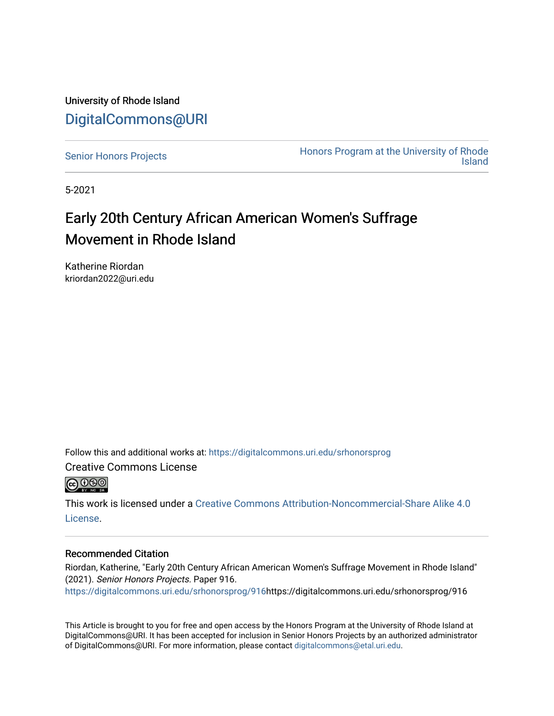University of Rhode Island [DigitalCommons@URI](https://digitalcommons.uri.edu/) 

[Senior Honors Projects](https://digitalcommons.uri.edu/srhonorsprog) **Honors Program at the University of Rhode**<br>Island [Island](https://digitalcommons.uri.edu/honors_prog) 

5-2021

#### Early 20th Century African American Women's Suffrage Movement in Rhode Island

Katherine Riordan kriordan2022@uri.edu

Follow this and additional works at: [https://digitalcommons.uri.edu/srhonorsprog](https://digitalcommons.uri.edu/srhonorsprog?utm_source=digitalcommons.uri.edu%2Fsrhonorsprog%2F916&utm_medium=PDF&utm_campaign=PDFCoverPages)

Creative Commons License



This work is licensed under a [Creative Commons Attribution-Noncommercial-Share Alike 4.0](https://creativecommons.org/licenses/by-nc-sa/4.0/) [License.](https://creativecommons.org/licenses/by-nc-sa/4.0/)

#### Recommended Citation

Riordan, Katherine, "Early 20th Century African American Women's Suffrage Movement in Rhode Island" (2021). Senior Honors Projects. Paper 916.

[https://digitalcommons.uri.edu/srhonorsprog/916](https://digitalcommons.uri.edu/srhonorsprog/916?utm_source=digitalcommons.uri.edu%2Fsrhonorsprog%2F916&utm_medium=PDF&utm_campaign=PDFCoverPages)https://digitalcommons.uri.edu/srhonorsprog/916

This Article is brought to you for free and open access by the Honors Program at the University of Rhode Island at DigitalCommons@URI. It has been accepted for inclusion in Senior Honors Projects by an authorized administrator of DigitalCommons@URI. For more information, please contact [digitalcommons@etal.uri.edu](mailto:digitalcommons@etal.uri.edu).